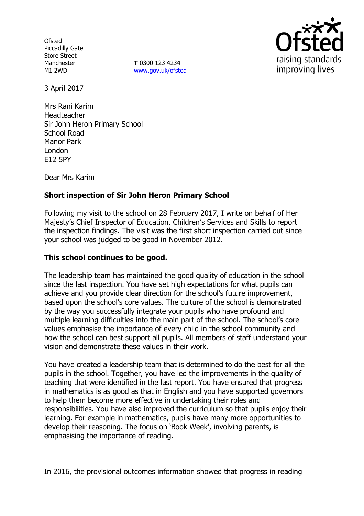**Ofsted** Piccadilly Gate Store Street Manchester M1 2WD

**T** 0300 123 4234 www.gov.uk/ofsted



3 April 2017

Mrs Rani Karim Headteacher Sir John Heron Primary School School Road Manor Park London E12 5PY

Dear Mrs Karim

## **Short inspection of Sir John Heron Primary School**

Following my visit to the school on 28 February 2017, I write on behalf of Her Majesty's Chief Inspector of Education, Children's Services and Skills to report the inspection findings. The visit was the first short inspection carried out since your school was judged to be good in November 2012.

## **This school continues to be good.**

The leadership team has maintained the good quality of education in the school since the last inspection. You have set high expectations for what pupils can achieve and you provide clear direction for the school's future improvement, based upon the school's core values. The culture of the school is demonstrated by the way you successfully integrate your pupils who have profound and multiple learning difficulties into the main part of the school. The school's core values emphasise the importance of every child in the school community and how the school can best support all pupils. All members of staff understand your vision and demonstrate these values in their work.

You have created a leadership team that is determined to do the best for all the pupils in the school. Together, you have led the improvements in the quality of teaching that were identified in the last report. You have ensured that progress in mathematics is as good as that in English and you have supported governors to help them become more effective in undertaking their roles and responsibilities. You have also improved the curriculum so that pupils enjoy their learning. For example in mathematics, pupils have many more opportunities to develop their reasoning. The focus on 'Book Week', involving parents, is emphasising the importance of reading.

In 2016, the provisional outcomes information showed that progress in reading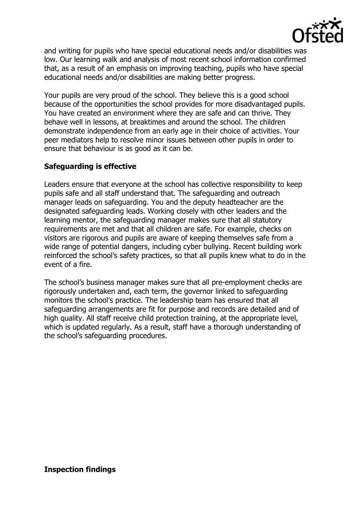

and writing for pupils who have special educational needs and/or disabilities was low. Our learning walk and analysis of most recent school information confirmed that, as a result of an emphasis on improving teaching, pupils who have special educational needs and/or disabilities are making better progress.

Your pupils are very proud of the school. They believe this is a good school because of the opportunities the school provides for more disadvantaged pupils. You have created an environment where they are safe and can thrive. They behave well in lessons, at breaktimes and around the school. The children demonstrate independence from an early age in their choice of activities. Your peer mediators help to resolve minor issues between other pupils in order to ensure that behaviour is as good as it can be.

## **Safeguarding is effective**

Leaders ensure that everyone at the school has collective responsibility to keep pupils safe and all staff understand that. The safeguarding and outreach manager leads on safeguarding. You and the deputy headteacher are the designated safeguarding leads. Working closely with other leaders and the learning mentor, the safeguarding manager makes sure that all statutory requirements are met and that all children are safe. For example, checks on visitors are rigorous and pupils are aware of keeping themselves safe from a wide range of potential dangers, including cyber bullying. Recent building work reinforced the school's safety practices, so that all pupils knew what to do in the event of a fire.

The school's business manager makes sure that all pre-employment checks are rigorously undertaken and, each term, the governor linked to safeguarding monitors the school's practice. The leadership team has ensured that all safeguarding arrangements are fit for purpose and records are detailed and of high quality. All staff receive child protection training, at the appropriate level, which is updated regularly. As a result, staff have a thorough understanding of the school's safeguarding procedures.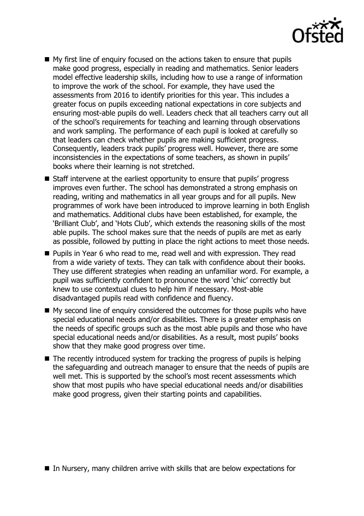

- My first line of enquiry focused on the actions taken to ensure that pupils make good progress, especially in reading and mathematics. Senior leaders model effective leadership skills, including how to use a range of information to improve the work of the school. For example, they have used the assessments from 2016 to identify priorities for this year. This includes a greater focus on pupils exceeding national expectations in core subjects and ensuring most-able pupils do well. Leaders check that all teachers carry out all of the school's requirements for teaching and learning through observations and work sampling. The performance of each pupil is looked at carefully so that leaders can check whether pupils are making sufficient progress. Consequently, leaders track pupils' progress well. However, there are some inconsistencies in the expectations of some teachers, as shown in pupils' books where their learning is not stretched.
- Staff intervene at the earliest opportunity to ensure that pupils' progress improves even further. The school has demonstrated a strong emphasis on reading, writing and mathematics in all year groups and for all pupils. New programmes of work have been introduced to improve learning in both English and mathematics. Additional clubs have been established, for example, the 'Brilliant Club', and 'Hots Club', which extends the reasoning skills of the most able pupils. The school makes sure that the needs of pupils are met as early as possible, followed by putting in place the right actions to meet those needs.
- **Pupils in Year 6 who read to me, read well and with expression. They read** from a wide variety of texts. They can talk with confidence about their books. They use different strategies when reading an unfamiliar word. For example, a pupil was sufficiently confident to pronounce the word 'chic' correctly but knew to use contextual clues to help him if necessary. Most-able disadvantaged pupils read with confidence and fluency.
- My second line of enquiry considered the outcomes for those pupils who have special educational needs and/or disabilities. There is a greater emphasis on the needs of specific groups such as the most able pupils and those who have special educational needs and/or disabilities. As a result, most pupils' books show that they make good progress over time.
- $\blacksquare$  The recently introduced system for tracking the progress of pupils is helping the safeguarding and outreach manager to ensure that the needs of pupils are well met. This is supported by the school's most recent assessments which show that most pupils who have special educational needs and/or disabilities make good progress, given their starting points and capabilities.

■ In Nursery, many children arrive with skills that are below expectations for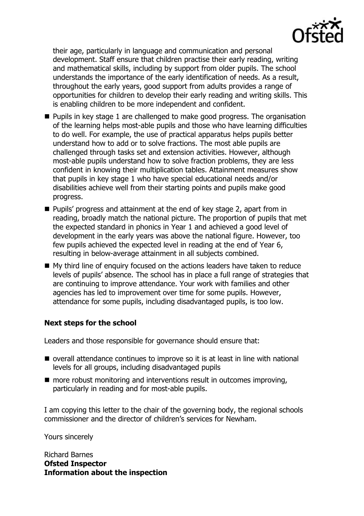

their age, particularly in language and communication and personal development. Staff ensure that children practise their early reading, writing and mathematical skills, including by support from older pupils. The school understands the importance of the early identification of needs. As a result, throughout the early years, good support from adults provides a range of opportunities for children to develop their early reading and writing skills. This is enabling children to be more independent and confident.

- **Pupils in key stage 1 are challenged to make good progress. The organisation** of the learning helps most-able pupils and those who have learning difficulties to do well. For example, the use of practical apparatus helps pupils better understand how to add or to solve fractions. The most able pupils are challenged through tasks set and extension activities. However, although most-able pupils understand how to solve fraction problems, they are less confident in knowing their multiplication tables. Attainment measures show that pupils in key stage 1 who have special educational needs and/or disabilities achieve well from their starting points and pupils make good progress.
- Pupils' progress and attainment at the end of key stage 2, apart from in reading, broadly match the national picture. The proportion of pupils that met the expected standard in phonics in Year 1 and achieved a good level of development in the early years was above the national figure. However, too few pupils achieved the expected level in reading at the end of Year 6, resulting in below-average attainment in all subjects combined.
- My third line of enquiry focused on the actions leaders have taken to reduce levels of pupils' absence. The school has in place a full range of strategies that are continuing to improve attendance. Your work with families and other agencies has led to improvement over time for some pupils. However, attendance for some pupils, including disadvantaged pupils, is too low.

## **Next steps for the school**

Leaders and those responsible for governance should ensure that:

- overall attendance continues to improve so it is at least in line with national levels for all groups, including disadvantaged pupils
- $\blacksquare$  more robust monitoring and interventions result in outcomes improving, particularly in reading and for most-able pupils.

I am copying this letter to the chair of the governing body, the regional schools commissioner and the director of children's services for Newham.

Yours sincerely

Richard Barnes **Ofsted Inspector Information about the inspection**